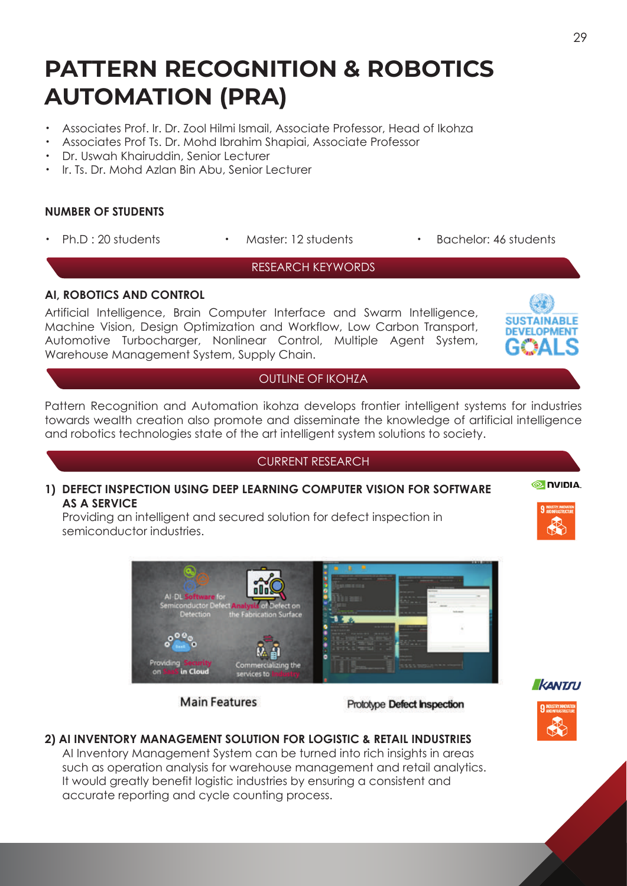# **PATTERN RECOGNITION & ROBOTICS AUTOMATION (PRA)**

- ・ Associates Prof. Ir. Dr. Zool Hilmi Ismail, Associate Professor, Head of Ikohza
- Associates Prof Ts. Dr. Mohd Ibrahim Shapiai, Associate Professor
- ・ Dr. Uswah Khairuddin, Senior Lecturer
- Ir. Ts. Dr. Mohd Azlan Bin Abu, Senior Lecturer

# **NUMBER OF STUDENTS**

Ph.D : 20 students • Master: 12 students • Bachelor: 46 students

# RESEARCH KEYWORDS

# **AI, ROBOTICS AND CONTROL**

Artificial Intelligence, Brain Computer Interface and Swarm Intelligence, Machine Vision, Design Optimization and Workflow, Low Carbon Transport, Automotive Turbocharger, Nonlinear Control, Multiple Agent System, Warehouse Management System, Supply Chain.



# OUTLINE OF IKOHZA

Pattern Recognition and Automation ikohza develops frontier intelligent systems for industries towards wealth creation also promote and disseminate the knowledge of artificial intelligence and robotics technologies state of the art intelligent system solutions to society.

# CURRENT RESEARCH

#### **1) DEFECT INSPECTION USING DEEP LEARNING COMPUTER VISION FOR SOFTWARE AS A SERVICE**

 Providing an intelligent and secured solution for defect inspection in semiconductor industries.



**O NVIDIA** 



**Main Features** 

Prototype Defect Inspection

# **2) AI INVENTORY MANAGEMENT SOLUTION FOR LOGISTIC & RETAIL INDUSTRIES**

 AI Inventory Management System can be turned into rich insights in areas such as operation analysis for warehouse management and retail analytics. It would greatly benefit logistic industries by ensuring a consistent and accurate reporting and cycle counting process.